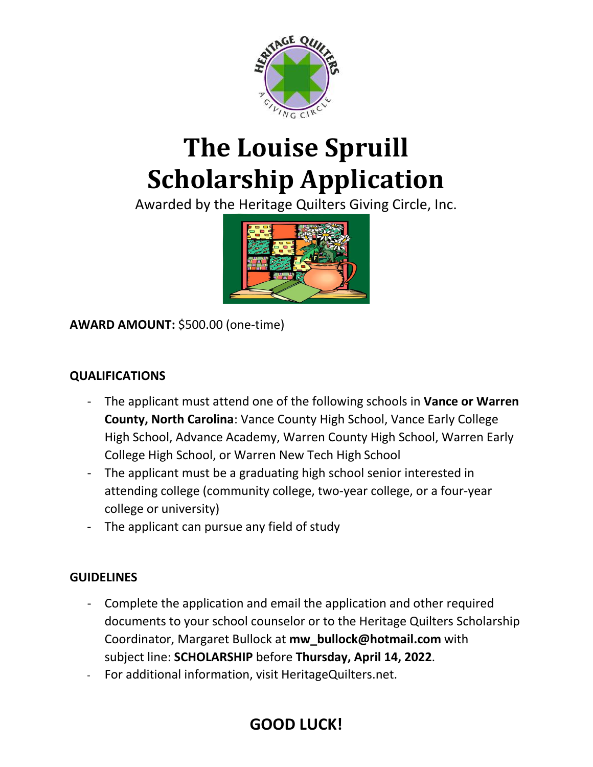

# **The Louise Spruill Scholarship Application**

Awarded by the Heritage Quilters Giving Circle, Inc.



**AWARD AMOUNT:** \$500.00 (one-time)

#### **QUALIFICATIONS**

- The applicant must attend one of the following schools in **Vance or Warren County, North Carolina**: Vance County High School, Vance Early College High School, Advance Academy, Warren County High School, Warren Early College High School, or Warren New Tech High School
- The applicant must be a graduating high school senior interested in attending college (community college, two-year college, or a four-year college or university)
- The applicant can pursue any field of study

#### **GUIDELINES**

- Complete the application and email the application and other required documents to your school counselor or to the Heritage Quilters Scholarship Coordinator, Margaret Bullock at **mw\_bullock@hotmail.com** with subject line: **SCHOLARSHIP** before **Thursday, April 14, 2022**.
- For additional information, visit HeritageQuilters.net.

# **GOOD LUCK!**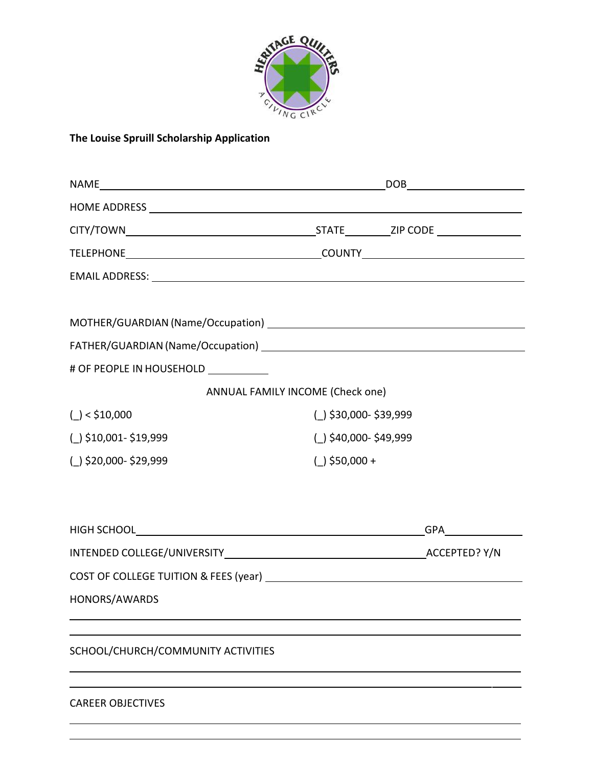

#### **The Louise Spruill Scholarship Application**

| # OF PEOPLE IN HOUSEHOLD ___________ |                       |     |  |
|--------------------------------------|-----------------------|-----|--|
| ANNUAL FAMILY INCOME (Check one)     |                       |     |  |
| $()$ < \$10,000                      | (_) \$30,000-\$39,999 |     |  |
| (_) \$10,001-\$19,999                | (_) \$40,000-\$49,999 |     |  |
| (_) \$20,000-\$29,999                | $($ \$50,000 +        |     |  |
|                                      |                       |     |  |
|                                      |                       | GPA |  |
|                                      |                       |     |  |
|                                      |                       |     |  |
| HONORS/AWARDS                        |                       |     |  |
| SCHOOL/CHURCH/COMMUNITY ACTIVITIES   |                       |     |  |
| <b>CAREER OBJECTIVES</b>             |                       |     |  |